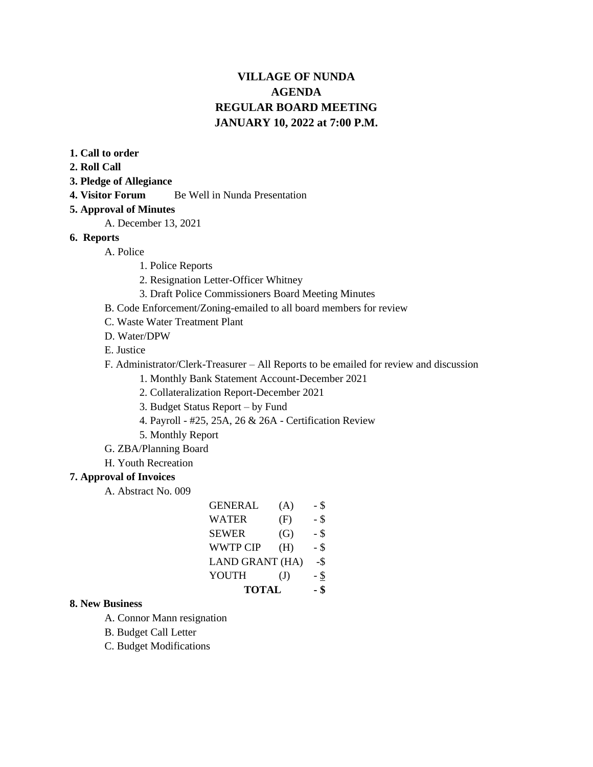# **VILLAGE OF NUNDA AGENDA REGULAR BOARD MEETING JANUARY 10, 2022 at 7:00 P.M.**

- **1. Call to order**
- **2. Roll Call**
- **3. Pledge of Allegiance**
- **4. Visitor Forum** Be Well in Nunda Presentation

#### **5. Approval of Minutes**

- A. December 13, 2021
- **6. Reports**
	- A. Police
		- 1. Police Reports
		- 2. Resignation Letter-Officer Whitney
		- 3. Draft Police Commissioners Board Meeting Minutes
	- B. Code Enforcement/Zoning-emailed to all board members for review
	- C. Waste Water Treatment Plant
	- D. Water/DPW
	- E. Justice
	- F. Administrator/Clerk-Treasurer All Reports to be emailed for review and discussion
		- 1. Monthly Bank Statement Account-December 2021
		- 2. Collateralization Report-December 2021
		- 3. Budget Status Report by Fund
		- 4. Payroll #25, 25A, 26 & 26A Certification Review
		- 5. Monthly Report
	- G. ZBA/Planning Board
	- H. Youth Recreation

#### **7. Approval of Invoices**

A. Abstract No. 009

| <b>GENERAL</b>         | (A)          | - \$ |
|------------------------|--------------|------|
| <b>WATER</b>           | (F)          | - \$ |
| <b>SEWER</b>           | (G)          | - \$ |
| <b>WWTP CIP</b>        | (H)          | - \$ |
| <b>LAND GRANT (HA)</b> | -\$          |      |
| YOUTH                  | $\mathrm{J}$ | - \$ |
| <b>TOTAL</b>           | - \$         |      |

#### **8. New Business**

- A. Connor Mann resignation
- B. Budget Call Letter
- C. Budget Modifications